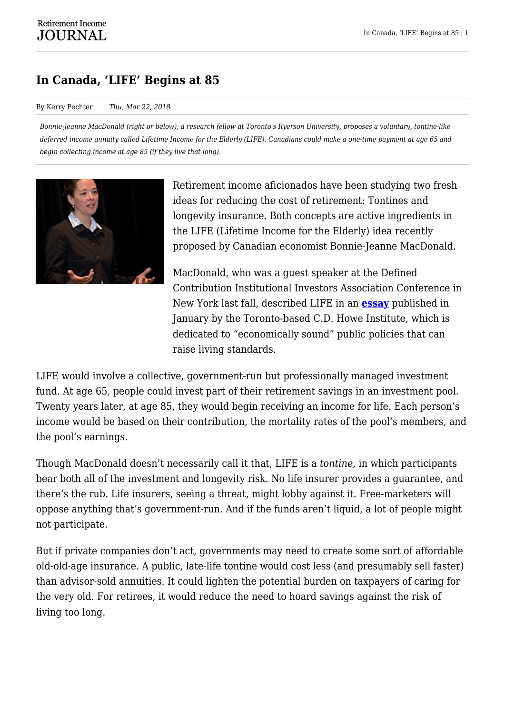## **In Canada, 'LIFE' Begins at 85**

#### By Kerry Pechter *Thu, Mar 22, 2018*

*Bonnie-Jeanne MacDonald (right or below), a research fellow at Toronto's Ryerson University, proposes a voluntary, tontine-like deferred income annuity called Lifetime Income for the Elderly (LIFE). Canadians could make a one-time payment at age 65 and begin collecting income at age 85 (if they live that long).*



Retirement income aficionados have been studying two fresh ideas for reducing the cost of retirement: Tontines and longevity insurance. Both concepts are active ingredients in the LIFE (Lifetime Income for the Elderly) idea recently proposed by Canadian economist Bonnie-Jeanne MacDonald.

MacDonald, who was a guest speaker at the Defined Contribution Institutional Investors Association Conference in New York last fall, described LIFE in an **[essay](https://rijdev1.wpengine.com/wp-content/uploads/2018/03/C.D.-Howe-Commenary-500.pdf)** published in January by the Toronto-based C.D. Howe Institute, which is dedicated to "economically sound" public policies that can raise living standards.

LIFE would involve a collective, government-run but professionally managed investment fund. At age 65, people could invest part of their retirement savings in an investment pool. Twenty years later, at age 85, they would begin receiving an income for life. Each person's income would be based on their contribution, the mortality rates of the pool's members, and the pool's earnings.

Though MacDonald doesn't necessarily call it that, LIFE is a *tontine*, in which participants bear both all of the investment and longevity risk. No life insurer provides a guarantee, and there's the rub. Life insurers, seeing a threat, might lobby against it. Free-marketers will oppose anything that's government-run. And if the funds aren't liquid, a lot of people might not participate.

But if private companies don't act, governments may need to create some sort of affordable old-old-age insurance. A public, late-life tontine would cost less (and presumably sell faster) than advisor-sold annuities. It could lighten the potential burden on taxpayers of caring for the very old. For retirees, it would reduce the need to hoard savings against the risk of living too long.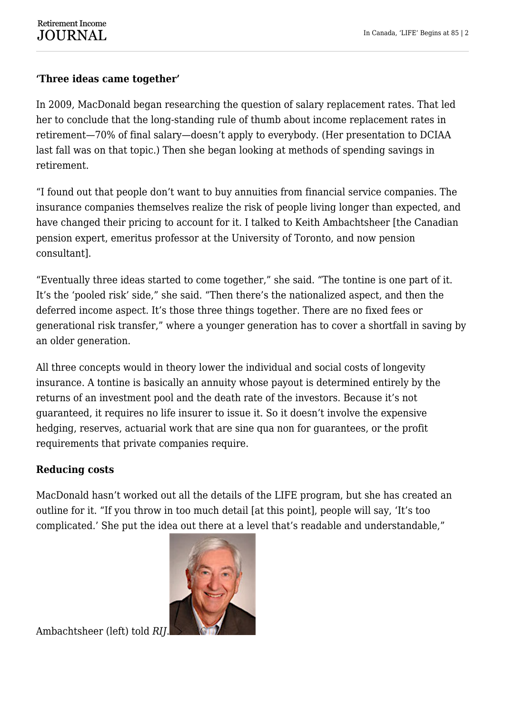## **'Three ideas came together'**

In 2009, MacDonald began researching the question of salary replacement rates. That led her to conclude that the long-standing rule of thumb about income replacement rates in retirement—70% of final salary—doesn't apply to everybody. (Her presentation to DCIAA last fall was on that topic.) Then she began looking at methods of spending savings in retirement.

"I found out that people don't want to buy annuities from financial service companies. The insurance companies themselves realize the risk of people living longer than expected, and have changed their pricing to account for it. I talked to Keith Ambachtsheer [the Canadian pension expert, emeritus professor at the University of Toronto, and now pension consultant].

"Eventually three ideas started to come together," she said. "The tontine is one part of it. It's the 'pooled risk' side," she said. "Then there's the nationalized aspect, and then the deferred income aspect. It's those three things together. There are no fixed fees or generational risk transfer," where a younger generation has to cover a shortfall in saving by an older generation.

All three concepts would in theory lower the individual and social costs of longevity insurance. A tontine is basically an annuity whose payout is determined entirely by the returns of an investment pool and the death rate of the investors. Because it's not guaranteed, it requires no life insurer to issue it. So it doesn't involve the expensive hedging, reserves, actuarial work that are sine qua non for guarantees, or the profit requirements that private companies require.

### **Reducing costs**

MacDonald hasn't worked out all the details of the LIFE program, but she has created an outline for it. "If you throw in too much detail [at this point], people will say, 'It's too complicated.' She put the idea out there at a level that's readable and understandable,"



Ambachtsheer (left) told *RIJ*.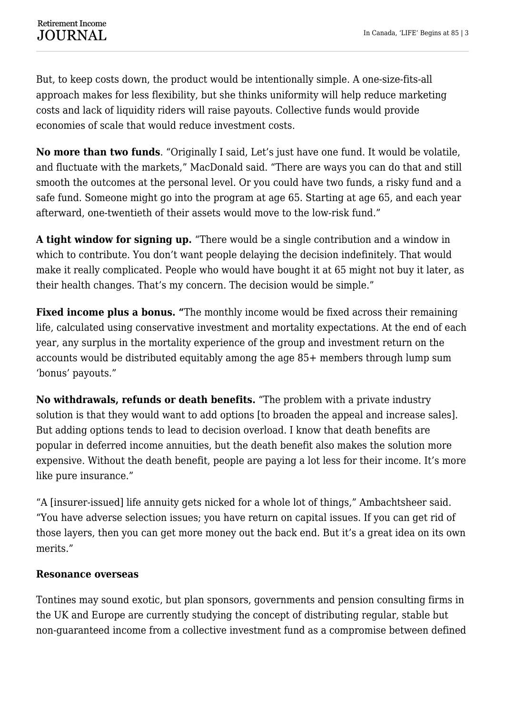But, to keep costs down, the product would be intentionally simple. A one-size-fits-all approach makes for less flexibility, but she thinks uniformity will help reduce marketing costs and lack of liquidity riders will raise payouts. Collective funds would provide economies of scale that would reduce investment costs.

**No more than two funds**. "Originally I said, Let's just have one fund. It would be volatile, and fluctuate with the markets," MacDonald said. "There are ways you can do that and still smooth the outcomes at the personal level. Or you could have two funds, a risky fund and a safe fund. Someone might go into the program at age 65. Starting at age 65, and each year afterward, one-twentieth of their assets would move to the low-risk fund."

**A tight window for signing up.** "There would be a single contribution and a window in which to contribute. You don't want people delaying the decision indefinitely. That would make it really complicated. People who would have bought it at 65 might not buy it later, as their health changes. That's my concern. The decision would be simple."

**Fixed income plus a bonus. "**The monthly income would be fixed across their remaining life, calculated using conservative investment and mortality expectations. At the end of each year, any surplus in the mortality experience of the group and investment return on the accounts would be distributed equitably among the age 85+ members through lump sum 'bonus' payouts."

**No withdrawals, refunds or death benefits.** "The problem with a private industry solution is that they would want to add options [to broaden the appeal and increase sales]. But adding options tends to lead to decision overload. I know that death benefits are popular in deferred income annuities, but the death benefit also makes the solution more expensive. Without the death benefit, people are paying a lot less for their income. It's more like pure insurance."

"A [insurer-issued] life annuity gets nicked for a whole lot of things," Ambachtsheer said. "You have adverse selection issues; you have return on capital issues. If you can get rid of those layers, then you can get more money out the back end. But it's a great idea on its own merits."

#### **Resonance overseas**

Tontines may sound exotic, but plan sponsors, governments and pension consulting firms in the UK and Europe are currently studying the concept of distributing regular, stable but non-guaranteed income from a collective investment fund as a compromise between defined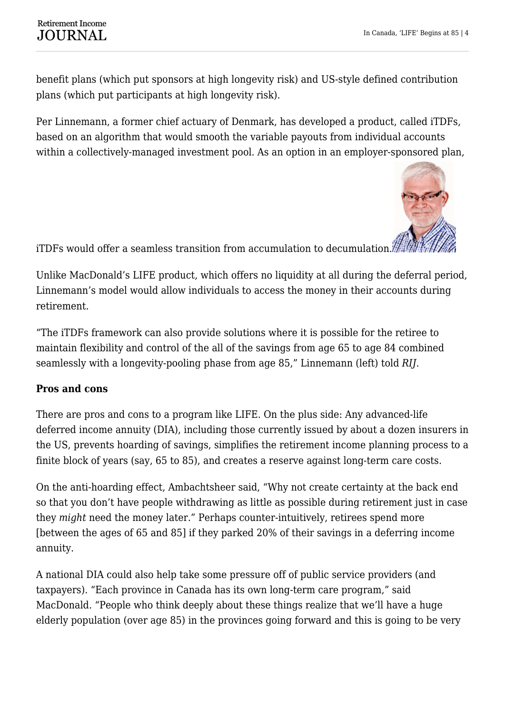benefit plans (which put sponsors at high longevity risk) and US-style defined contribution plans (which put participants at high longevity risk).

Per Linnemann, a former chief actuary of Denmark, has developed a product, called iTDFs, based on an algorithm that would smooth the variable payouts from individual accounts within a collectively-managed investment pool. As an option in an employer-sponsored plan,



iTDFs would offer a seamless transition from accumulation to decumulation.

Unlike MacDonald's LIFE product, which offers no liquidity at all during the deferral period, Linnemann's model would allow individuals to access the money in their accounts during retirement.

"The iTDFs framework can also provide solutions where it is possible for the retiree to maintain flexibility and control of the all of the savings from age 65 to age 84 combined seamlessly with a longevity-pooling phase from age 85," Linnemann (left) told *RIJ*.

# **Pros and cons**

There are pros and cons to a program like LIFE. On the plus side: Any advanced-life deferred income annuity (DIA), including those currently issued by about a dozen insurers in the US, prevents hoarding of savings, simplifies the retirement income planning process to a finite block of years (say, 65 to 85), and creates a reserve against long-term care costs.

On the anti-hoarding effect, Ambachtsheer said, "Why not create certainty at the back end so that you don't have people withdrawing as little as possible during retirement just in case they *might* need the money later." Perhaps counter-intuitively, retirees spend more [between the ages of 65 and 85] if they parked 20% of their savings in a deferring income annuity.

A national DIA could also help take some pressure off of public service providers (and taxpayers). "Each province in Canada has its own long-term care program," said MacDonald. "People who think deeply about these things realize that we'll have a huge elderly population (over age 85) in the provinces going forward and this is going to be very